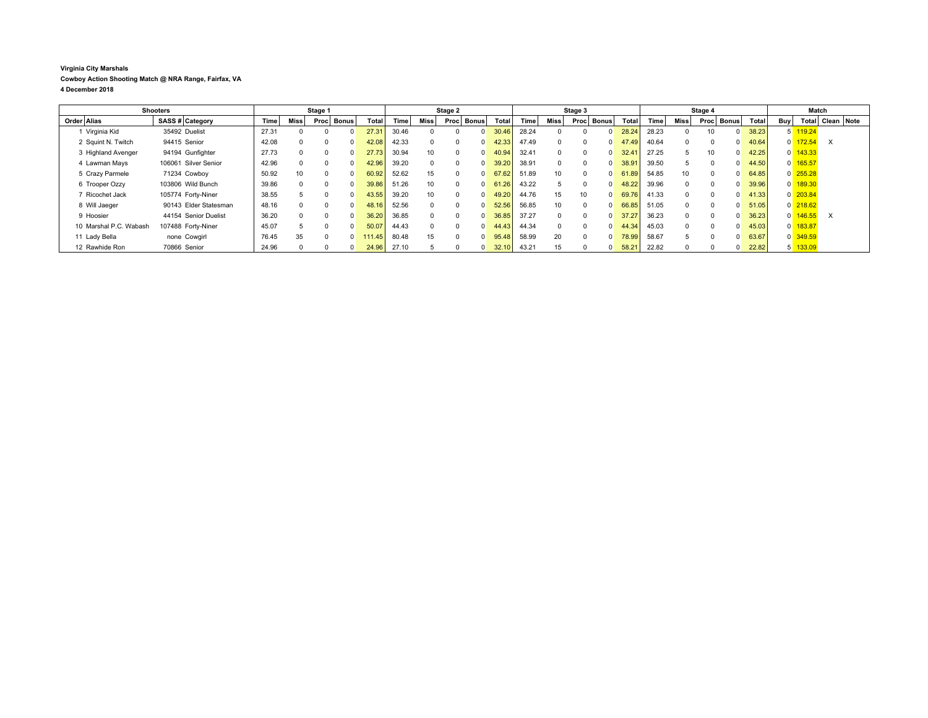## **Virginia City Marshals Cowboy Action Shooting Match @ NRA Range, Fairfax, VA 4 December 2018**

| <b>Shooters</b>        |                       | Stage 1 |          |             |       | Stage 2      |             |      | Stage 3                |       |       |          | Stage 4              |       |       |             | Match        |              |       |                |            |                  |  |
|------------------------|-----------------------|---------|----------|-------------|-------|--------------|-------------|------|------------------------|-------|-------|----------|----------------------|-------|-------|-------------|--------------|--------------|-------|----------------|------------|------------------|--|
| Order Alias            | SASS # Category       | Time    | Miss     | <b>Proc</b> | Bonus | <b>Total</b> | <b>Time</b> | Miss | Bonus I<br><b>Proc</b> | Total | Time  | Miss     | <b>Bonus</b><br>Proc | Total | Time  | <b>Miss</b> | Proc         | <b>Bonus</b> | Total | Buy            |            | Total Clean Note |  |
| 1 Virginia Kid         | 35492 Duelist         | 27.31   |          |             |       | 27.31        | 30.46       |      | $\Omega$               | 30.46 | 28.24 |          | $\Omega$             | 28.24 | 28.23 |             | 10           |              | 38.23 |                | 5 119.24   |                  |  |
| 2 Squint N. Twitch     | 94415 Senior          | 42.08   |          |             |       | 42.08        | 42.33       |      | $\Omega$               | 42.33 | 47.49 | $\Omega$ | $\Omega$             | 47.49 | 40.64 |             |              |              | 40.64 | $\overline{0}$ | 172.54     | $\times$         |  |
| 3 Highland Avenger     | 94194 Gunfighter      | 27.73   | $\Omega$ |             |       | 27.73        | 30.94       | 10   | $\Omega$               | 40.94 | 32.41 | $\Omega$ | $\Omega$             | 32.41 | 27.25 | 5.          | 10           |              | 42.25 | $\overline{0}$ | 143.33     |                  |  |
| 4 Lawman Mays          | 106061 Silver Senior  | 42.96   | $\Omega$ |             |       | 42.96        | 39.20       |      | $\Omega$               | 39.20 | 38.91 | $\Omega$ | $\Omega$             | 38.91 | 39.50 | h.          |              |              | 44.50 | $\overline{0}$ | 165.57     |                  |  |
| 5 Crazy Parmele        | 71234 Cowboy          | 50.92   | 10       |             |       | 60.92        | 52.62       | 15   | $\Omega$               | 67.62 | 51.89 | 10       | $\Omega$             | 61.89 | 54.85 | 10          |              |              | 64.85 |                | $0$ 255.28 |                  |  |
| 6 Trooper Ozzy         | 103806 Wild Bunch     | 39.86   | $\Omega$ |             |       | 39.86        | 51.26       | 10   | $\Omega$               | 61.26 | 43.22 | 5        | $\Omega$             | 48.22 | 39.96 |             | <sup>n</sup> |              | 39.96 | $\overline{0}$ | 189.30     |                  |  |
| 7 Ricochet Jack        | 105774 Forty-Niner    | 38.55   |          |             |       | 43.55        | 39.20       | 10   | $\Omega$               | 49.20 | 44.76 | 15       | 10                   | 69.76 | 41.33 |             | $\Omega$     |              | 41.33 |                | $0$ 203.84 |                  |  |
| 8 Will Jaeger          | 90143 Elder Statesman | 48.16   |          |             |       | 48.16        | 52.56       |      | $\Omega$               | 52.56 | 56.85 | 10       | $\Omega$             | 66.85 | 51.05 |             |              |              | 51.05 |                | $0$ 218.62 |                  |  |
| 9 Hoosier              | 44154 Senior Duelist  | 36.20   | $\Omega$ |             |       | 36.20        | 36.85       |      | $\Omega$               | 36.85 | 37.27 | $\Omega$ | $\Omega$             | 37.27 | 36.23 |             |              |              | 36.23 | $\Omega$       | 146.55     | $\times$         |  |
| 10 Marshal P.C. Wabash | 107488 Forty-Niner    | 45.07   | 5        |             |       | 50.07        | 44.43       |      | $\Omega$               | 44.43 | 44.34 | $\Omega$ | $\Omega$             | 44.34 | 45.03 |             | $\Omega$     |              | 45.03 | $\overline{0}$ | 183.87     |                  |  |
| 11 Lady Bella          | none Cowgirl          | 76.45   | 35       |             |       | 111.45       | 80.48       | 15   | $\Omega$               | 95.48 | 58.99 | 20       | $\Omega$             | 78.99 | 58.67 |             |              |              | 63.67 |                | $0$ 349.59 |                  |  |
| 12 Rawhide Ron         | 70866 Senior          | 24.96   |          |             |       | 24.96        | 27.10       |      | $\overline{0}$         | 32.10 | 43.21 | 15       | $\Omega$             | 58.21 | 22.82 |             |              |              | 22.82 | 5              | 133.09     |                  |  |